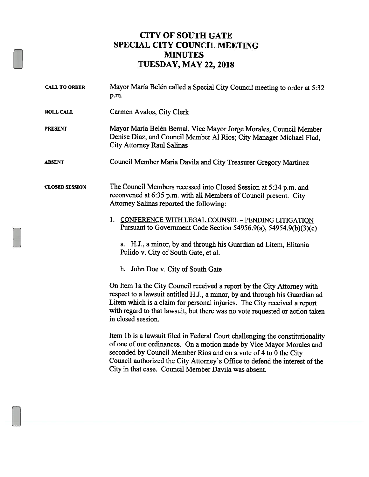## CITY OF SOUTH GATE SPECIAL CITY COUNCIL MEETING MINUTES TUESDAY, MAY 22, <sup>2018</sup>

| <b>CALL TO ORDER</b>  | Mayor María Belén called a Special City Council meeting to order at 5:32<br>p.m.                                                                                                                                                                                                                                                                                 |
|-----------------------|------------------------------------------------------------------------------------------------------------------------------------------------------------------------------------------------------------------------------------------------------------------------------------------------------------------------------------------------------------------|
| <b>ROLL CALL</b>      | Carmen Avalos, City Clerk                                                                                                                                                                                                                                                                                                                                        |
| <b>PRESENT</b>        | Mayor María Belén Bernal, Vice Mayor Jorge Morales, Council Member<br>Denise Diaz, and Council Member Al Rios; City Manager Michael Flad,<br><b>City Attorney Raul Salinas</b>                                                                                                                                                                                   |
| <b>ABSENT</b>         | Council Member Maria Davila and City Treasurer Gregory Martinez                                                                                                                                                                                                                                                                                                  |
| <b>CLOSED SESSION</b> | The Council Members recessed into Closed Session at 5:34 p.m. and<br>reconvened at 6:35 p.m. with all Members of Council present. City<br>Attorney Salinas reported the following:                                                                                                                                                                               |
|                       | 1. CONFERENCE WITH LEGAL COUNSEL - PENDING LITIGATION<br>Pursuant to Government Code Section 54956.9(a), 54954.9(b)(3)(c)                                                                                                                                                                                                                                        |
|                       | a. H.J., a minor, by and through his Guardian ad Litem, Elitania<br>Pulido v. City of South Gate, et al.                                                                                                                                                                                                                                                         |
|                       | b. John Doe v. City of South Gate                                                                                                                                                                                                                                                                                                                                |
|                       | On Item 1a the City Council received a report by the City Attorney with<br>respect to a lawsuit entitled H.J., a minor, by and through his Guardian ad<br>Litem which is a claim for personal injuries. The City received a report<br>with regard to that lawsuit, but there was no vote requested or action taken<br>in closed session.                         |
|                       | Item 1b is a lawsuit filed in Federal Court challenging the constitutionality<br>of one of our ordinances. On a motion made by Vice Mayor Morales and<br>seconded by Council Member Rios and on a vote of 4 to 0 the City<br>Council authorized the City Attorney's Office to defend the interest of the<br>City in that case. Council Member Davila was absent. |